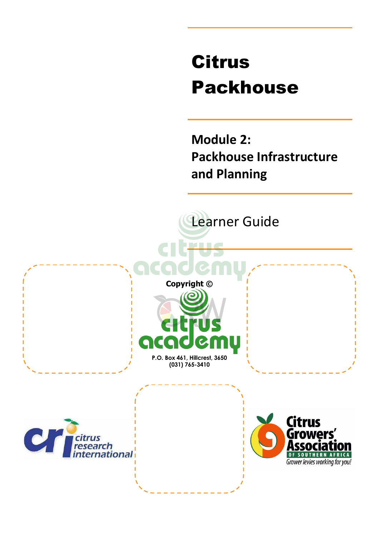# Citrus Packhouse

**Module 2: Packhouse Infrastructure and Planning** 

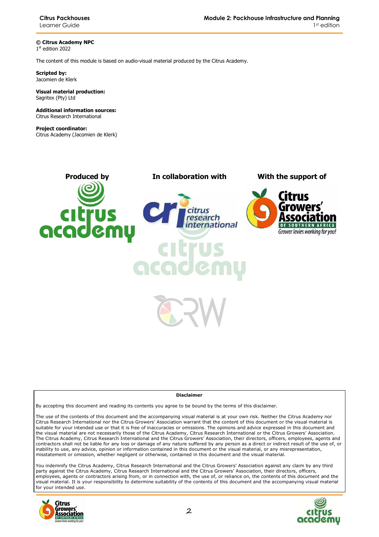**Citrus Packhouses**  Learner Guide

**© Citrus Academy NPC**  1 st edition 2022

The content of this module is based on audio-visual material produced by the Citrus Academy.

**Scripted by:**  Jacomien de Klerk

**Visual material production:**  Sagritex (Pty) Ltd

**Additional information sources:**  Citrus Research International

**Project coordinator:** Citrus Academy (Jacomien de Klerk)



#### **Disclaimer**

By accepting this document and reading its contents you agree to be bound by the terms of this disclaimer.

The use of the contents of this document and the accompanying visual material is at your own risk. Neither the Citrus Academy nor Citrus Research International nor the Citrus Growers' Association warrant that the content of this document or the visual material is suitable for your intended use or that it is free of inaccuracies or omissions. The opinions and advice expressed in this document and the visual material are not necessarily those of the Citrus Academy, Citrus Research International or the Citrus Growers' Association. The Citrus Academy, Citrus Research International and the Citrus Growers' Association, their directors, officers, employees, agents and contractors shall not be liable for any loss or damage of any nature suffered by any person as a direct or indirect result of the use of, or inability to use, any advice, opinion or information contained in this document or the visual material, or any misrepresentation, misstatement or omission, whether negligent or otherwise, contained in this document and the visual material.

You indemnify the Citrus Academy, Citrus Research International and the Citrus Growers' Association against any claim by any third party against the Citrus Academy, Citrus Research International and the Citrus Growers' Association, their directors, officers, employees, agents or contractors arising from, or in connection with, the use of, or reliance on, the contents of this document and the visual material. It is your responsibility to determine suitability of the contents of this document and the accompanying visual material for your intended use.



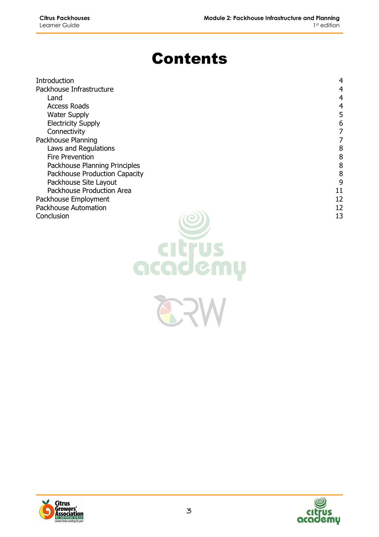# Contents

| Introduction                  | 4  |
|-------------------------------|----|
| Packhouse Infrastructure      | 4  |
| Land                          | 4  |
| <b>Access Roads</b>           | 4  |
| <b>Water Supply</b>           | 5  |
| <b>Electricity Supply</b>     | 6  |
| Connectivity                  |    |
| Packhouse Planning            |    |
| Laws and Regulations          | 8  |
| Fire Prevention               | 8  |
| Packhouse Planning Principles | 8  |
| Packhouse Production Capacity | 8  |
| Packhouse Site Layout         | 9  |
| Packhouse Production Area     | 11 |
| Packhouse Employment          | 12 |
| Packhouse Automation          | 12 |
| Conclusion                    | 13 |

871



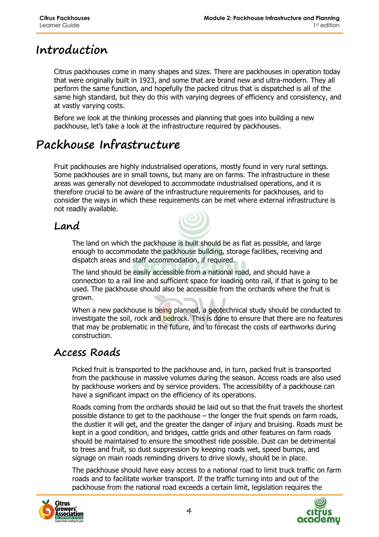# **Introduction**

Citrus packhouses come in many shapes and sizes. There are packhouses in operation today that were originally built in 1923, and some that are brand new and ultra-modern. They all perform the same function, and hopefully the packed citrus that is dispatched is all of the same high standard, but they do this with varying degrees of efficiency and consistency, and at vastly varying costs.

Before we look at the thinking processes and planning that goes into building a new packhouse, let's take a look at the infrastructure required by packhouses.

# **Packhouse Infrastructure**

Fruit packhouses are highly industrialised operations, mostly found in very rural settings. Some packhouses are in small towns, but many are on farms. The infrastructure in these areas was generally not developed to accommodate industrialised operations, and it is therefore crucial to be aware of the infrastructure requirements for packhouses, and to consider the ways in which these requirements can be met where external infrastructure is not readily available.

#### **Land**

The land on which the packhouse is built should be as flat as possible, and large enough to accommodate the packhouse building, storage facilities, receiving and dispatch areas and staff accommodation, if required.

The land should be easily accessible from a national road, and should have a connection to a rail line and sufficient space for loading onto rail, if that is going to be used. The packhouse should also be accessible from the orchards where the fruit is grown.

When a new packhouse is being planned, a geotechnical study should be conducted to investigate the soil, rock and bedrock. This is done to ensure that there are no features that may be problematic in the future, and to forecast the costs of earthworks during construction.

#### **Access Roads**

Picked fruit is transported to the packhouse and, in turn, packed fruit is transported from the packhouse in massive volumes during the season. Access roads are also used by packhouse workers and by service providers. The accessibility of a packhouse can have a significant impact on the efficiency of its operations.

Roads coming from the orchards should be laid out so that the fruit travels the shortest possible distance to get to the packhouse – the longer the fruit spends on farm roads, the dustier it will get, and the greater the danger of injury and bruising. Roads must be kept in a good condition, and bridges, cattle grids and other features on farm roads should be maintained to ensure the smoothest ride possible. Dust can be detrimental to trees and fruit, so dust suppression by keeping roads wet, speed bumps, and signage on main roads reminding drivers to drive slowly, should be in place.

The packhouse should have easy access to a national road to limit truck traffic on farm roads and to facilitate worker transport. If the traffic turning into and out of the packhouse from the national road exceeds a certain limit, legislation requires the



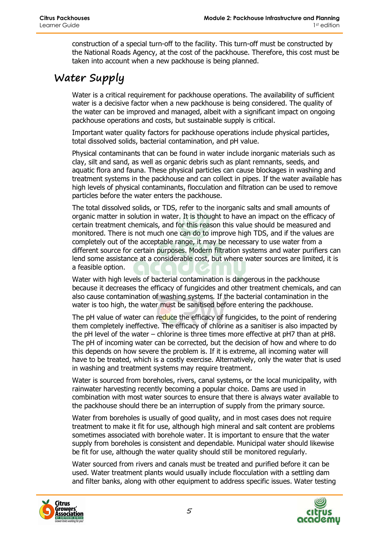construction of a special turn-off to the facility. This turn-off must be constructed by the National Roads Agency, at the cost of the packhouse. Therefore, this cost must be taken into account when a new packhouse is being planned.

#### **Water Supply**

Water is a critical requirement for packhouse operations. The availability of sufficient water is a decisive factor when a new packhouse is being considered. The quality of the water can be improved and managed, albeit with a significant impact on ongoing packhouse operations and costs, but sustainable supply is critical.

Important water quality factors for packhouse operations include physical particles, total dissolved solids, bacterial contamination, and pH value.

Physical contaminants that can be found in water include inorganic materials such as clay, silt and sand, as well as organic debris such as plant remnants, seeds, and aquatic flora and fauna. These physical particles can cause blockages in washing and treatment systems in the packhouse and can collect in pipes. If the water available has high levels of physical contaminants, flocculation and filtration can be used to remove particles before the water enters the packhouse.

The total dissolved solids, or TDS, refer to the inorganic salts and small amounts of organic matter in solution in water. It is thought to have an impact on the efficacy of certain treatment chemicals, and for this reason this value should be measured and monitored. There is not much one can do to improve high TDS, and if the values are completely out of the acceptable range, it may be necessary to use water from a different source for certain purposes. Modern filtration systems and water purifiers can lend some assistance at a considerable cost, but where water sources are limited, it is a feasible option.

Water with high levels of bacterial contamination is dangerous in the packhouse because it decreases the efficacy of fungicides and other treatment chemicals, and can also cause contamination of washing systems. If the bacterial contamination in the water is too high, the water must be sanitised before entering the packhouse.

The pH value of water can reduce the efficacy of fungicides, to the point of rendering them completely ineffective. The efficacy of chlorine as a sanitiser is also impacted by the pH level of the water – chlorine is three times more effective at pH7 than at pH8. The pH of incoming water can be corrected, but the decision of how and where to do this depends on how severe the problem is. If it is extreme, all incoming water will have to be treated, which is a costly exercise. Alternatively, only the water that is used in washing and treatment systems may require treatment.

Water is sourced from boreholes, rivers, canal systems, or the local municipality, with rainwater harvesting recently becoming a popular choice. Dams are used in combination with most water sources to ensure that there is always water available to the packhouse should there be an interruption of supply from the primary source.

Water from boreholes is usually of good quality, and in most cases does not require treatment to make it fit for use, although high mineral and salt content are problems sometimes associated with borehole water. It is important to ensure that the water supply from boreholes is consistent and dependable. Municipal water should likewise be fit for use, although the water quality should still be monitored regularly.

Water sourced from rivers and canals must be treated and purified before it can be used. Water treatment plants would usually include flocculation with a settling dam and filter banks, along with other equipment to address specific issues. Water testing



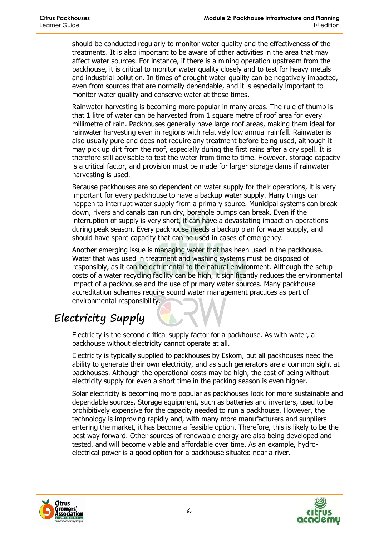should be conducted regularly to monitor water quality and the effectiveness of the treatments. It is also important to be aware of other activities in the area that may affect water sources. For instance, if there is a mining operation upstream from the packhouse, it is critical to monitor water quality closely and to test for heavy metals and industrial pollution. In times of drought water quality can be negatively impacted, even from sources that are normally dependable, and it is especially important to monitor water quality and conserve water at those times.

Rainwater harvesting is becoming more popular in many areas. The rule of thumb is that 1 litre of water can be harvested from 1 square metre of roof area for every millimetre of rain. Packhouses generally have large roof areas, making them ideal for rainwater harvesting even in regions with relatively low annual rainfall. Rainwater is also usually pure and does not require any treatment before being used, although it may pick up dirt from the roof, especially during the first rains after a dry spell. It is therefore still advisable to test the water from time to time. However, storage capacity is a critical factor, and provision must be made for larger storage dams if rainwater harvesting is used.

Because packhouses are so dependent on water supply for their operations, it is very important for every packhouse to have a backup water supply. Many things can happen to interrupt water supply from a primary source. Municipal systems can break down, rivers and canals can run dry, borehole pumps can break. Even if the interruption of supply is very short, it can have a devastating impact on operations during peak season. Every packhouse needs a backup plan for water supply, and should have spare capacity that can be used in cases of emergency.

Another emerging issue is managing water that has been used in the packhouse. Water that was used in treatment and washing systems must be disposed of responsibly, as it can be detrimental to the natural environment. Although the setup costs of a water recycling facility can be high, it significantly reduces the environmental impact of a packhouse and the use of primary water sources. Many packhouse accreditation schemes require sound water management practices as part of environmental responsibility.

# **Electricity Supply**

Electricity is the second critical supply factor for a packhouse. As with water, a packhouse without electricity cannot operate at all.

Electricity is typically supplied to packhouses by Eskom, but all packhouses need the ability to generate their own electricity, and as such generators are a common sight at packhouses. Although the operational costs may be high, the cost of being without electricity supply for even a short time in the packing season is even higher.

Solar electricity is becoming more popular as packhouses look for more sustainable and dependable sources. Storage equipment, such as batteries and inverters, used to be prohibitively expensive for the capacity needed to run a packhouse. However, the technology is improving rapidly and, with many more manufacturers and suppliers entering the market, it has become a feasible option. Therefore, this is likely to be the best way forward. Other sources of renewable energy are also being developed and tested, and will become viable and affordable over time. As an example, hydroelectrical power is a good option for a packhouse situated near a river.



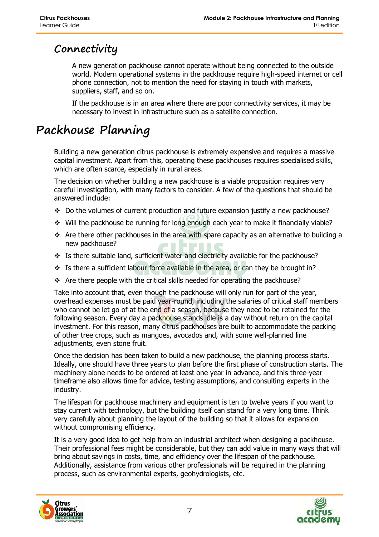#### **Connectivity**

A new generation packhouse cannot operate without being connected to the outside world. Modern operational systems in the packhouse require high-speed internet or cell phone connection, not to mention the need for staying in touch with markets, suppliers, staff, and so on.

If the packhouse is in an area where there are poor connectivity services, it may be necessary to invest in infrastructure such as a satellite connection.

# **Packhouse Planning**

Building a new generation citrus packhouse is extremely expensive and requires a massive capital investment. Apart from this, operating these packhouses requires specialised skills, which are often scarce, especially in rural areas.

The decision on whether building a new packhouse is a viable proposition requires very careful investigation, with many factors to consider. A few of the questions that should be answered include:

- $\div$  Do the volumes of current production and future expansion justify a new packhouse?
- Will the packhouse be running for long enough each year to make it financially viable?
- \* Are there other packhouses in the area with spare capacity as an alternative to building a new packhouse?
- \* Is there suitable land, sufficient water and electricity available for the packhouse?
- Is there a sufficient labour force available in the area, or can they be brought in?
- \* Are there people with the critical skills needed for operating the packhouse?

Take into account that, even though the packhouse will only run for part of the year, overhead expenses must be paid year-round, including the salaries of critical staff members who cannot be let go of at the end of a season, because they need to be retained for the following season. Every day a packhouse stands idle is a day without return on the capital investment. For this reason, many citrus packhouses are built to accommodate the packing of other tree crops, such as mangoes, avocados and, with some well-planned line adjustments, even stone fruit.

Once the decision has been taken to build a new packhouse, the planning process starts. Ideally, one should have three years to plan before the first phase of construction starts. The machinery alone needs to be ordered at least one year in advance, and this three-year timeframe also allows time for advice, testing assumptions, and consulting experts in the industry.

The lifespan for packhouse machinery and equipment is ten to twelve years if you want to stay current with technology, but the building itself can stand for a very long time. Think very carefully about planning the layout of the building so that it allows for expansion without compromising efficiency.

It is a very good idea to get help from an industrial architect when designing a packhouse. Their professional fees might be considerable, but they can add value in many ways that will bring about savings in costs, time, and efficiency over the lifespan of the packhouse. Additionally, assistance from various other professionals will be required in the planning process, such as environmental experts, geohydrologists, etc.



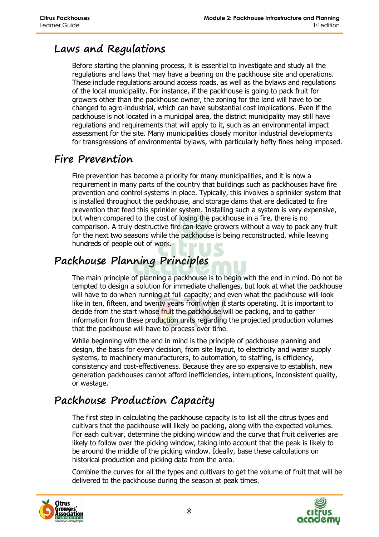#### **Laws and Regulations**

Before starting the planning process, it is essential to investigate and study all the regulations and laws that may have a bearing on the packhouse site and operations. These include regulations around access roads, as well as the bylaws and regulations of the local municipality. For instance, if the packhouse is going to pack fruit for growers other than the packhouse owner, the zoning for the land will have to be changed to agro-industrial, which can have substantial cost implications. Even if the packhouse is not located in a municipal area, the district municipality may still have regulations and requirements that will apply to it, such as an environmental impact assessment for the site. Many municipalities closely monitor industrial developments for transgressions of environmental bylaws, with particularly hefty fines being imposed.

#### **Fire Prevention**

Fire prevention has become a priority for many municipalities, and it is now a requirement in many parts of the country that buildings such as packhouses have fire prevention and control systems in place. Typically, this involves a sprinkler system that is installed throughout the packhouse, and storage dams that are dedicated to fire prevention that feed this sprinkler system. Installing such a system is very expensive, but when compared to the cost of losing the packhouse in a fire, there is no comparison. A truly destructive fire can leave growers without a way to pack any fruit for the next two seasons while the packhouse is being reconstructed, while leaving hundreds of people out of work.

#### **Packhouse Planning Principles**

The main principle of planning a packhouse is to begin with the end in mind. Do not be tempted to design a solution for immediate challenges, but look at what the packhouse will have to do when running at full capacity; and even what the packhouse will look like in ten, fifteen, and twenty years from when it starts operating. It is important to decide from the start whose fruit the packhouse will be packing, and to gather information from these production units regarding the projected production volumes that the packhouse will have to process over time.

While beginning with the end in mind is the principle of packhouse planning and design, the basis for every decision, from site layout, to electricity and water supply systems, to machinery manufacturers, to automation, to staffing, is efficiency, consistency and cost-effectiveness. Because they are so expensive to establish, new generation packhouses cannot afford inefficiencies, interruptions, inconsistent quality, or wastage.

# **Packhouse Production Capacity**

The first step in calculating the packhouse capacity is to list all the citrus types and cultivars that the packhouse will likely be packing, along with the expected volumes. For each cultivar, determine the picking window and the curve that fruit deliveries are likely to follow over the picking window, taking into account that the peak is likely to be around the middle of the picking window. Ideally, base these calculations on historical production and picking data from the area.

Combine the curves for all the types and cultivars to get the volume of fruit that will be delivered to the packhouse during the season at peak times.



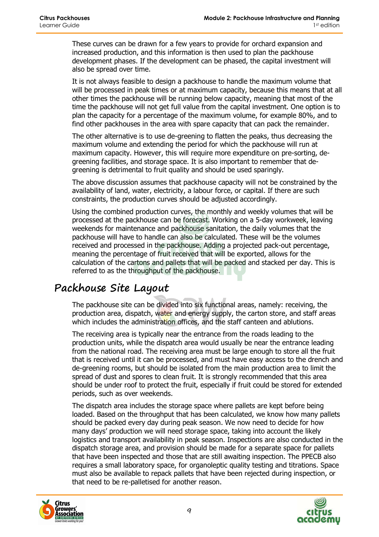These curves can be drawn for a few years to provide for orchard expansion and increased production, and this information is then used to plan the packhouse development phases. If the development can be phased, the capital investment will also be spread over time.

It is not always feasible to design a packhouse to handle the maximum volume that will be processed in peak times or at maximum capacity, because this means that at all other times the packhouse will be running below capacity, meaning that most of the time the packhouse will not get full value from the capital investment. One option is to plan the capacity for a percentage of the maximum volume, for example 80%, and to find other packhouses in the area with spare capacity that can pack the remainder.

The other alternative is to use de-greening to flatten the peaks, thus decreasing the maximum volume and extending the period for which the packhouse will run at maximum capacity. However, this will require more expenditure on pre-sorting, degreening facilities, and storage space. It is also important to remember that degreening is detrimental to fruit quality and should be used sparingly.

The above discussion assumes that packhouse capacity will not be constrained by the availability of land, water, electricity, a labour force, or capital. If there are such constraints, the production curves should be adjusted accordingly.

Using the combined production curves, the monthly and weekly volumes that will be processed at the packhouse can be forecast. Working on a 5-day workweek, leaving weekends for maintenance and packhouse sanitation, the daily volumes that the packhouse will have to handle can also be calculated. These will be the volumes received and processed in the packhouse. Adding a projected pack-out percentage, meaning the percentage of fruit received that will be exported, allows for the calculation of the cartons and pallets that will be packed and stacked per day. This is referred to as the throughput of the packhouse.

#### **Packhouse Site Layout**

The packhouse site can be divided into six functional areas, namely: receiving, the production area, dispatch, water and energy supply, the carton store, and staff areas which includes the administration offices, and the staff canteen and ablutions.

The receiving area is typically near the entrance from the roads leading to the production units, while the dispatch area would usually be near the entrance leading from the national road. The receiving area must be large enough to store all the fruit that is received until it can be processed, and must have easy access to the drench and de-greening rooms, but should be isolated from the main production area to limit the spread of dust and spores to clean fruit. It is strongly recommended that this area should be under roof to protect the fruit, especially if fruit could be stored for extended periods, such as over weekends.

The dispatch area includes the storage space where pallets are kept before being loaded. Based on the throughput that has been calculated, we know how many pallets should be packed every day during peak season. We now need to decide for how many days' production we will need storage space, taking into account the likely logistics and transport availability in peak season. Inspections are also conducted in the dispatch storage area, and provision should be made for a separate space for pallets that have been inspected and those that are still awaiting inspection. The PPECB also requires a small laboratory space, for organoleptic quality testing and titrations. Space must also be available to repack pallets that have been rejected during inspection, or that need to be re-palletised for another reason.



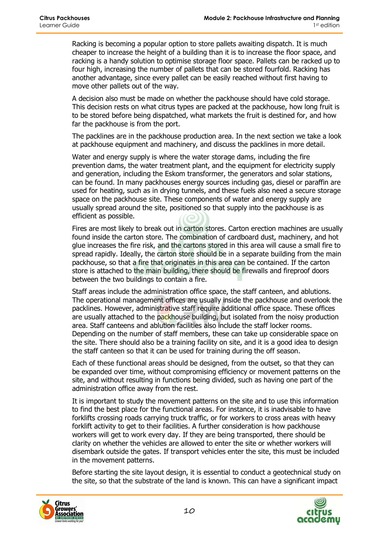Racking is becoming a popular option to store pallets awaiting dispatch. It is much cheaper to increase the height of a building than it is to increase the floor space, and racking is a handy solution to optimise storage floor space. Pallets can be racked up to four high, increasing the number of pallets that can be stored fourfold. Racking has another advantage, since every pallet can be easily reached without first having to move other pallets out of the way.

A decision also must be made on whether the packhouse should have cold storage. This decision rests on what citrus types are packed at the packhouse, how long fruit is to be stored before being dispatched, what markets the fruit is destined for, and how far the packhouse is from the port.

The packlines are in the packhouse production area. In the next section we take a look at packhouse equipment and machinery, and discuss the packlines in more detail.

Water and energy supply is where the water storage dams, including the fire prevention dams, the water treatment plant, and the equipment for electricity supply and generation, including the Eskom transformer, the generators and solar stations, can be found. In many packhouses energy sources including gas, diesel or paraffin are used for heating, such as in drying tunnels, and these fuels also need a secure storage space on the packhouse site. These components of water and energy supply are usually spread around the site, positioned so that supply into the packhouse is as efficient as possible.

Fires are most likely to break out in carton stores. Carton erection machines are usually found inside the carton store. The combination of cardboard dust, machinery, and hot glue increases the fire risk, and the cartons stored in this area will cause a small fire to spread rapidly. Ideally, the carton store should be in a separate building from the main packhouse, so that a fire that originates in this area can be contained. If the carton store is attached to the main building, there should be firewalls and fireproof doors between the two buildings to contain a fire.

Staff areas include the administration office space, the staff canteen, and ablutions. The operational management offices are usually inside the packhouse and overlook the packlines. However, administrative staff require additional office space. These offices are usually attached to the packhouse building, but isolated from the noisy production area. Staff canteens and ablution facilities also include the staff locker rooms. Depending on the number of staff members, these can take up considerable space on the site. There should also be a training facility on site, and it is a good idea to design the staff canteen so that it can be used for training during the off season.

Each of these functional areas should be designed, from the outset, so that they can be expanded over time, without compromising efficiency or movement patterns on the site, and without resulting in functions being divided, such as having one part of the administration office away from the rest.

It is important to study the movement patterns on the site and to use this information to find the best place for the functional areas. For instance, it is inadvisable to have forklifts crossing roads carrying truck traffic, or for workers to cross areas with heavy forklift activity to get to their facilities. A further consideration is how packhouse workers will get to work every day. If they are being transported, there should be clarity on whether the vehicles are allowed to enter the site or whether workers will disembark outside the gates. If transport vehicles enter the site, this must be included in the movement patterns.

Before starting the site layout design, it is essential to conduct a geotechnical study on the site, so that the substrate of the land is known. This can have a significant impact



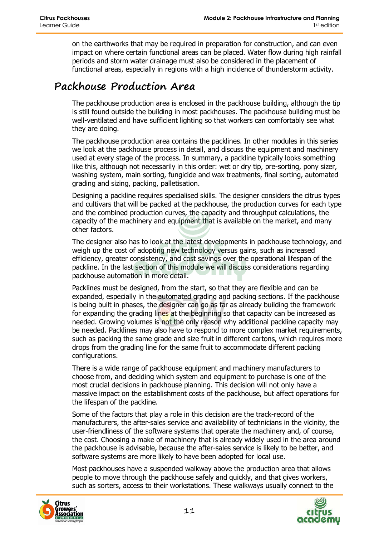on the earthworks that may be required in preparation for construction, and can even impact on where certain functional areas can be placed. Water flow during high rainfall periods and storm water drainage must also be considered in the placement of functional areas, especially in regions with a high incidence of thunderstorm activity.

#### **Packhouse Production Area**

The packhouse production area is enclosed in the packhouse building, although the tip is still found outside the building in most packhouses. The packhouse building must be well-ventilated and have sufficient lighting so that workers can comfortably see what they are doing.

The packhouse production area contains the packlines. In other modules in this series we look at the packhouse process in detail, and discuss the equipment and machinery used at every stage of the process. In summary, a packline typically looks something like this, although not necessarily in this order: wet or dry tip, pre-sorting, pony sizer, washing system, main sorting, fungicide and wax treatments, final sorting, automated grading and sizing, packing, palletisation.

Designing a packline requires specialised skills. The designer considers the citrus types and cultivars that will be packed at the packhouse, the production curves for each type and the combined production curves, the capacity and throughput calculations, the capacity of the machinery and equipment that is available on the market, and many other factors.

The designer also has to look at the latest developments in packhouse technology, and weigh up the cost of adopting new technology versus gains, such as increased efficiency, greater consistency, and cost savings over the operational lifespan of the packline. In the last section of this module we will discuss considerations regarding packhouse automation in more detail.

Packlines must be designed, from the start, so that they are flexible and can be expanded, especially in the automated grading and packing sections. If the packhouse is being built in phases, the designer can go as far as already building the framework for expanding the grading lines at the beginning so that capacity can be increased as needed. Growing volumes is not the only reason why additional packline capacity may be needed. Packlines may also have to respond to more complex market requirements, such as packing the same grade and size fruit in different cartons, which requires more drops from the grading line for the same fruit to accommodate different packing configurations.

There is a wide range of packhouse equipment and machinery manufacturers to choose from, and deciding which system and equipment to purchase is one of the most crucial decisions in packhouse planning. This decision will not only have a massive impact on the establishment costs of the packhouse, but affect operations for the lifespan of the packline.

Some of the factors that play a role in this decision are the track-record of the manufacturers, the after-sales service and availability of technicians in the vicinity, the user-friendliness of the software systems that operate the machinery and, of course, the cost. Choosing a make of machinery that is already widely used in the area around the packhouse is advisable, because the after-sales service is likely to be better, and software systems are more likely to have been adopted for local use.

Most packhouses have a suspended walkway above the production area that allows people to move through the packhouse safely and quickly, and that gives workers, such as sorters, access to their workstations. These walkways usually connect to the



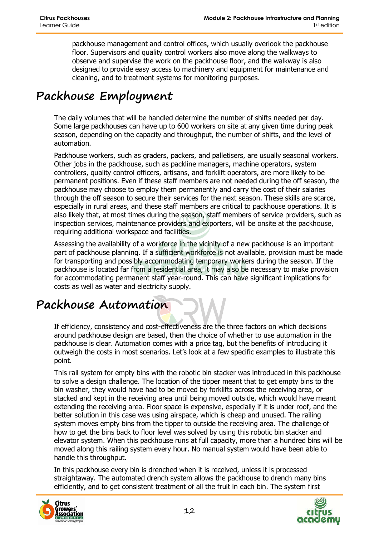packhouse management and control offices, which usually overlook the packhouse floor. Supervisors and quality control workers also move along the walkways to observe and supervise the work on the packhouse floor, and the walkway is also designed to provide easy access to machinery and equipment for maintenance and cleaning, and to treatment systems for monitoring purposes.

# **Packhouse Employment**

The daily volumes that will be handled determine the number of shifts needed per day. Some large packhouses can have up to 600 workers on site at any given time during peak season, depending on the capacity and throughput, the number of shifts, and the level of automation.

Packhouse workers, such as graders, packers, and palletisers, are usually seasonal workers. Other jobs in the packhouse, such as packline managers, machine operators, system controllers, quality control officers, artisans, and forklift operators, are more likely to be permanent positions. Even if these staff members are not needed during the off season, the packhouse may choose to employ them permanently and carry the cost of their salaries through the off season to secure their services for the next season. These skills are scarce, especially in rural areas, and these staff members are critical to packhouse operations. It is also likely that, at most times during the season, staff members of service providers, such as inspection services, maintenance providers and exporters, will be onsite at the packhouse, requiring additional workspace and facilities.

Assessing the availability of a workforce in the vicinity of a new packhouse is an important part of packhouse planning. If a sufficient workforce is not available, provision must be made for transporting and possibly accommodating temporary workers during the season. If the packhouse is located far from a residential area, it may also be necessary to make provision for accommodating permanent staff year-round. This can have significant implications for costs as well as water and electricity supply.

# **Packhouse Automation**

If efficiency, consistency and cost-effectiveness are the three factors on which decisions around packhouse design are based, then the choice of whether to use automation in the packhouse is clear. Automation comes with a price tag, but the benefits of introducing it outweigh the costs in most scenarios. Let's look at a few specific examples to illustrate this point.

This rail system for empty bins with the robotic bin stacker was introduced in this packhouse to solve a design challenge. The location of the tipper meant that to get empty bins to the bin washer, they would have had to be moved by forklifts across the receiving area, or stacked and kept in the receiving area until being moved outside, which would have meant extending the receiving area. Floor space is expensive, especially if it is under roof, and the better solution in this case was using airspace, which is cheap and unused. The railing system moves empty bins from the tipper to outside the receiving area. The challenge of how to get the bins back to floor level was solved by using this robotic bin stacker and elevator system. When this packhouse runs at full capacity, more than a hundred bins will be moved along this railing system every hour. No manual system would have been able to handle this throughput.

In this packhouse every bin is drenched when it is received, unless it is processed straightaway. The automated drench system allows the packhouse to drench many bins efficiently, and to get consistent treatment of all the fruit in each bin. The system first